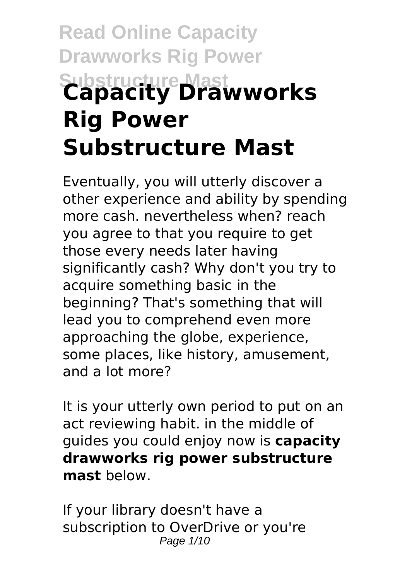# **Read Online Capacity Drawworks Rig Power Substructure Mast Capacity Drawworks Rig Power Substructure Mast**

Eventually, you will utterly discover a other experience and ability by spending more cash, nevertheless when? reach you agree to that you require to get those every needs later having significantly cash? Why don't you try to acquire something basic in the beginning? That's something that will lead you to comprehend even more approaching the globe, experience, some places, like history, amusement, and a lot more?

It is your utterly own period to put on an act reviewing habit. in the middle of guides you could enjoy now is **capacity drawworks rig power substructure mast** below.

If your library doesn't have a subscription to OverDrive or you're Page 1/10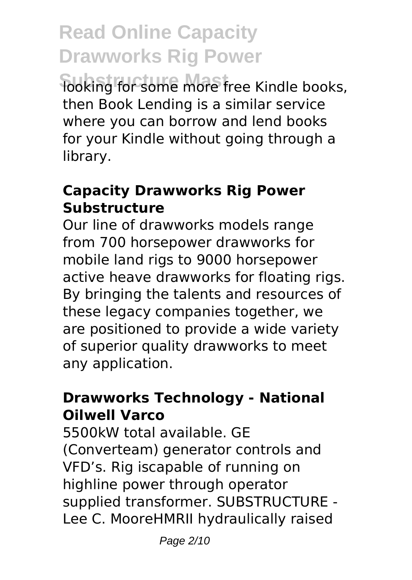**Sooking for some more free Kindle books,** then Book Lending is a similar service where you can borrow and lend books for your Kindle without going through a library.

#### **Capacity Drawworks Rig Power Substructure**

Our line of drawworks models range from 700 horsepower drawworks for mobile land rigs to 9000 horsepower active heave drawworks for floating rigs. By bringing the talents and resources of these legacy companies together, we are positioned to provide a wide variety of superior quality drawworks to meet any application.

#### **Drawworks Technology - National Oilwell Varco**

5500kW total available. GE (Converteam) generator controls and VFD's. Rig iscapable of running on highline power through operator supplied transformer. SUBSTRUCTURE - Lee C. MooreHMRII hydraulically raised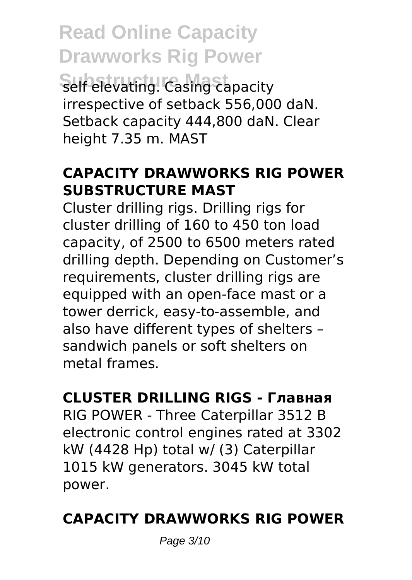**Read Online Capacity Drawworks Rig Power** Self elevating. Casing capacity irrespective of setback 556,000 daN. Setback capacity 444,800 daN. Clear height 7.35 m. MAST

### **CAPACITY DRAWWORKS RIG POWER SUBSTRUCTURE MAST**

Cluster drilling rigs. Drilling rigs for cluster drilling of 160 to 450 ton load capacity, of 2500 to 6500 meters rated drilling depth. Depending on Customer's requirements, cluster drilling rigs are equipped with an open-face mast or a tower derrick, easy-to-assemble, and also have different types of shelters – sandwich panels or soft shelters on metal frames.

### **CLUSTER DRILLING RIGS - Главная**

RIG POWER - Three Caterpillar 3512 B electronic control engines rated at 3302 kW (4428 Hp) total w/ (3) Caterpillar 1015 kW generators. 3045 kW total power.

### **CAPACITY DRAWWORKS RIG POWER**

Page 3/10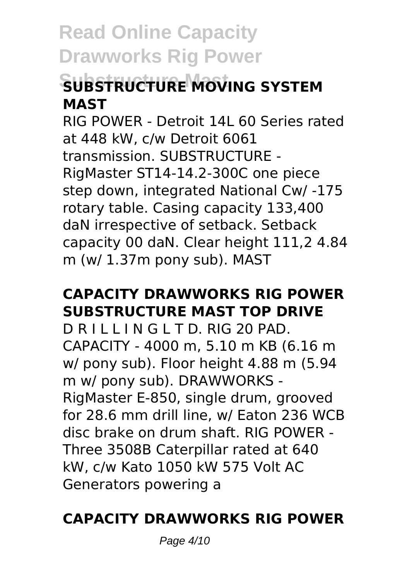## **Substructure Mast SUBSTRUCTURE MOVING SYSTEM MAST**

RIG POWER - Detroit 14L 60 Series rated at 448 kW, c/w Detroit 6061 transmission. SUBSTRUCTURE - RigMaster ST14-14.2-300C one piece step down, integrated National Cw/ -175 rotary table. Casing capacity 133,400 daN irrespective of setback. Setback capacity 00 daN. Clear height 111,2 4.84 m (w/ 1.37m pony sub). MAST

### **CAPACITY DRAWWORKS RIG POWER SUBSTRUCTURE MAST TOP DRIVE**

D R I L I L I N G L T D. RIG 20 PAD. CAPACITY - 4000 m, 5.10 m KB (6.16 m w/ pony sub). Floor height 4.88 m (5.94 m w/ pony sub). DRAWWORKS - RigMaster E-850, single drum, grooved for 28.6 mm drill line, w/ Eaton 236 WCB disc brake on drum shaft. RIG POWER - Three 3508B Caterpillar rated at 640 kW, c/w Kato 1050 kW 575 Volt AC Generators powering a

### **CAPACITY DRAWWORKS RIG POWER**

Page 4/10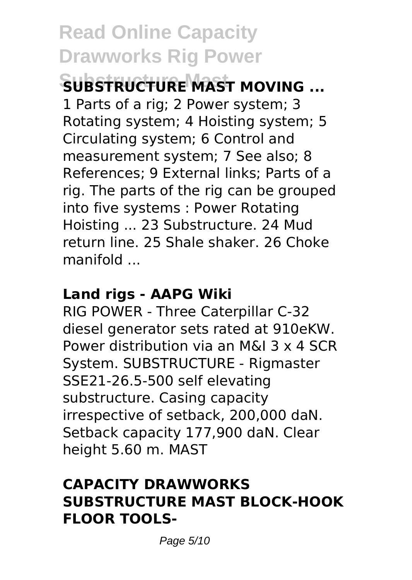## **Substructure Mast SUBSTRUCTURE MAST MOVING ...**

1 Parts of a rig; 2 Power system; 3 Rotating system; 4 Hoisting system; 5 Circulating system; 6 Control and measurement system; 7 See also; 8 References; 9 External links; Parts of a rig. The parts of the rig can be grouped into five systems : Power Rotating Hoisting ... 23 Substructure. 24 Mud return line. 25 Shale shaker. 26 Choke manifold ...

#### **Land rigs - AAPG Wiki**

RIG POWER - Three Caterpillar C-32 diesel generator sets rated at 910eKW. Power distribution via an M&I 3 x 4 SCR System. SUBSTRUCTURE - Rigmaster SSE21-26.5-500 self elevating substructure. Casing capacity irrespective of setback, 200,000 daN. Setback capacity 177,900 daN. Clear height 5.60 m. MAST

#### **CAPACITY DRAWWORKS SUBSTRUCTURE MAST BLOCK-HOOK FLOOR TOOLS-**

Page 5/10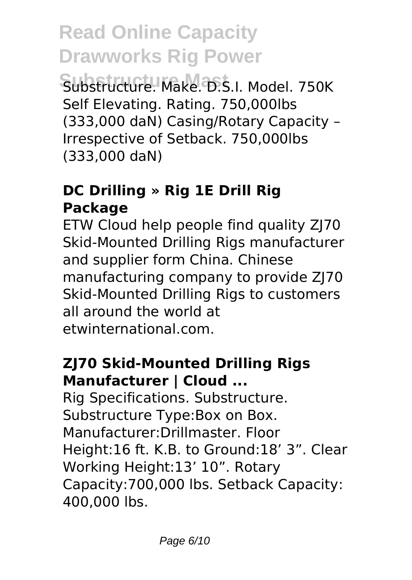**Substructure Mast** Substructure. Make. D.S.I. Model. 750K Self Elevating. Rating. 750,000lbs (333,000 daN) Casing/Rotary Capacity – Irrespective of Setback. 750,000lbs (333,000 daN)

### **DC Drilling » Rig 1E Drill Rig Package**

ETW Cloud help people find quality ZJ70 Skid-Mounted Drilling Rigs manufacturer and supplier form China. Chinese manufacturing company to provide ZJ70 Skid-Mounted Drilling Rigs to customers all around the world at etwinternational.com.

#### **ZJ70 Skid-Mounted Drilling Rigs Manufacturer | Cloud ...**

Rig Specifications. Substructure. Substructure Type:Box on Box. Manufacturer:Drillmaster. Floor Height:16 ft. K.B. to Ground:18' 3". Clear Working Height:13' 10". Rotary Capacity:700,000 lbs. Setback Capacity: 400,000 lbs.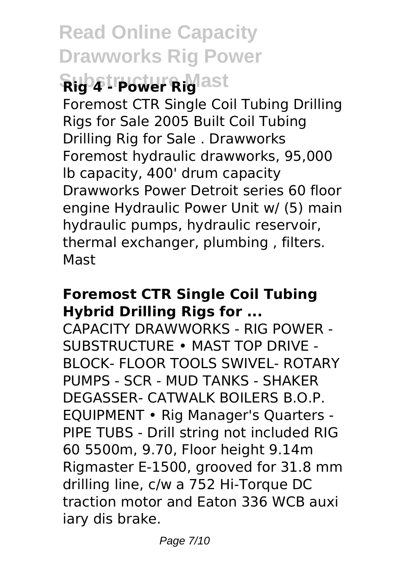## **Read Online Capacity Drawworks Rig Power Substructure Mast Rig 4 - Power Rig**

Foremost CTR Single Coil Tubing Drilling Rigs for Sale 2005 Built Coil Tubing Drilling Rig for Sale . Drawworks Foremost hydraulic drawworks, 95,000 lb capacity, 400' drum capacity Drawworks Power Detroit series 60 floor engine Hydraulic Power Unit w/ (5) main hydraulic pumps, hydraulic reservoir, thermal exchanger, plumbing , filters. Mast

#### **Foremost CTR Single Coil Tubing Hybrid Drilling Rigs for ...**

CAPACITY DRAWWORKS - RIG POWER - SUBSTRUCTURE • MAST TOP DRIVE - BLOCK- FLOOR TOOLS SWIVEL- ROTARY PUMPS - SCR - MUD TANKS - SHAKER DEGASSER- CATWALK BOILERS B.O.P. EQUIPMENT • Rig Manager's Quarters - PIPE TUBS - Drill string not included RIG 60 5500m, 9.70, Floor height 9.14m Rigmaster E-1500, grooved for 31.8 mm drilling line, c/w a 752 Hi-Torque DC traction motor and Eaton 336 WCB auxi iary dis brake.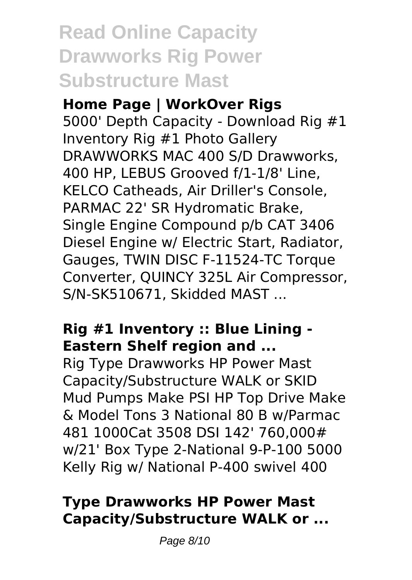## **Read Online Capacity Drawworks Rig Power Substructure Mast**

#### **Home Page | WorkOver Rigs**

5000' Depth Capacity - Download Rig #1 Inventory Rig #1 Photo Gallery DRAWWORKS MAC 400 S/D Drawworks, 400 HP, LEBUS Grooved f/1-1/8' Line, KELCO Catheads, Air Driller's Console, PARMAC 22' SR Hydromatic Brake, Single Engine Compound p/b CAT 3406 Diesel Engine w/ Electric Start, Radiator, Gauges, TWIN DISC F-11524-TC Torque Converter, QUINCY 325L Air Compressor, S/N-SK510671, Skidded MAST ...

### **Rig #1 Inventory :: Blue Lining - Eastern Shelf region and ...**

Rig Type Drawworks HP Power Mast Capacity/Substructure WALK or SKID Mud Pumps Make PSI HP Top Drive Make & Model Tons 3 National 80 B w/Parmac 481 1000Cat 3508 DSI 142' 760,000# w/21' Box Type 2-National 9-P-100 5000 Kelly Rig w/ National P-400 swivel 400

### **Type Drawworks HP Power Mast Capacity/Substructure WALK or ...**

Page 8/10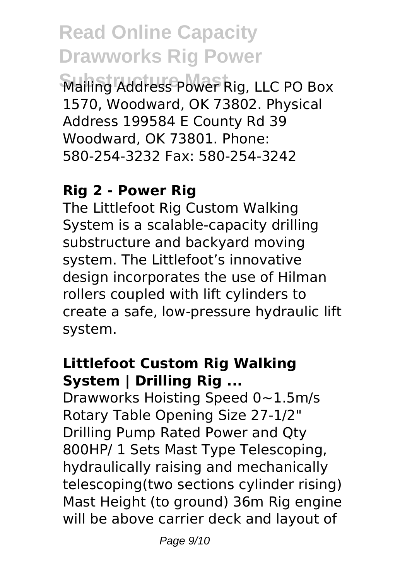**Substructure Mast** Mailing Address Power Rig, LLC PO Box 1570, Woodward, OK 73802. Physical Address 199584 E County Rd 39 Woodward, OK 73801. Phone: 580-254-3232 Fax: 580-254-3242

#### **Rig 2 - Power Rig**

The Littlefoot Rig Custom Walking System is a scalable-capacity drilling substructure and backyard moving system. The Littlefoot's innovative design incorporates the use of Hilman rollers coupled with lift cylinders to create a safe, low-pressure hydraulic lift system.

#### **Littlefoot Custom Rig Walking System | Drilling Rig ...**

Drawworks Hoisting Speed 0~1.5m/s Rotary Table Opening Size 27-1/2" Drilling Pump Rated Power and Qty 800HP/ 1 Sets Mast Type Telescoping, hydraulically raising and mechanically telescoping(two sections cylinder rising) Mast Height (to ground) 36m Rig engine will be above carrier deck and layout of